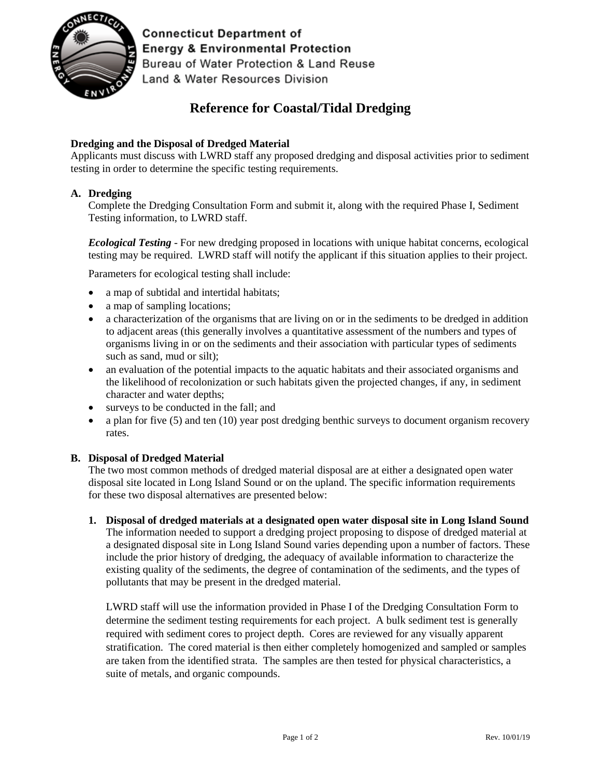

**Connecticut Department of Energy & Environmental Protection** Bureau of Water Protection & Land Reuse Land & Water Resources Division

# **Reference for Coastal/Tidal Dredging**

## **Dredging and the Disposal of Dredged Material**

Applicants must discuss with LWRD staff any proposed dredging and disposal activities prior to sediment testing in order to determine the specific testing requirements.

### **A. Dredging**

Complete the Dredging Consultation Form and submit it, along with the required Phase I, Sediment Testing information, to LWRD staff.

*Ecological Testing* - For new dredging proposed in locations with unique habitat concerns, ecological testing may be required. LWRD staff will notify the applicant if this situation applies to their project.

Parameters for ecological testing shall include:

- a map of subtidal and intertidal habitats;
- a map of sampling locations;
- a characterization of the organisms that are living on or in the sediments to be dredged in addition to adjacent areas (this generally involves a quantitative assessment of the numbers and types of organisms living in or on the sediments and their association with particular types of sediments such as sand, mud or silt);
- an evaluation of the potential impacts to the aquatic habitats and their associated organisms and the likelihood of recolonization or such habitats given the projected changes, if any, in sediment character and water depths;
- surveys to be conducted in the fall; and
- a plan for five (5) and ten (10) year post dredging benthic surveys to document organism recovery rates.

#### **B. Disposal of Dredged Material**

The two most common methods of dredged material disposal are at either a designated open water disposal site located in Long Island Sound or on the upland. The specific information requirements for these two disposal alternatives are presented below:

**1. Disposal of dredged materials at a designated open water disposal site in Long Island Sound**  The information needed to support a dredging project proposing to dispose of dredged material at a designated disposal site in Long Island Sound varies depending upon a number of factors. These include the prior history of dredging, the adequacy of available information to characterize the existing quality of the sediments, the degree of contamination of the sediments, and the types of pollutants that may be present in the dredged material.

LWRD staff will use the information provided in Phase I of the Dredging Consultation Form to determine the sediment testing requirements for each project. A bulk sediment test is generally required with sediment cores to project depth. Cores are reviewed for any visually apparent stratification. The cored material is then either completely homogenized and sampled or samples are taken from the identified strata. The samples are then tested for physical characteristics, a suite of metals, and organic compounds.